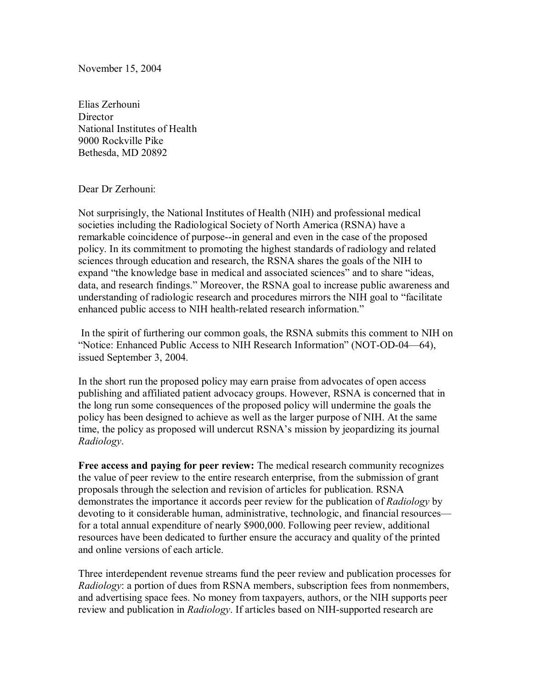November 15, 2004

Elias Zerhouni **Director** National Institutes of Health 9000 Rockville Pike Bethesda, MD 20892

Dear Dr Zerhouni:

Not surprisingly, the National Institutes of Health (NIH) and professional medical societies including the Radiological Society of North America (RSNA) have a remarkable coincidence of purpose--in general and even in the case of the proposed policy. In its commitment to promoting the highest standards of radiology and related sciences through education and research, the RSNA shares the goals of the NIH to expand "the knowledge base in medical and associated sciences" and to share "ideas, data, and research findings." Moreover, the RSNA goal to increase public awareness and understanding of radiologic research and procedures mirrors the NIH goal to "facilitate" enhanced public access to NIH health-related research information."

 In the spirit of furthering our common goals, the RSNA submits this comment to NIH on "Notice: Enhanced Public Access to NIH Research Information" (NOT-OD-04–64), issued September 3, 2004.

In the short run the proposed policy may earn praise from advocates of open access publishing and affiliated patient advocacy groups. However, RSNA is concerned that in the long run some consequences of the proposed policy will undermine the goals the policy has been designed to achieve as well as the larger purpose of NIH. At the same time, the policy as proposed will undercut RSNA's mission by jeopardizing its journal *Radiology*.

**Free access and paying for peer review:** The medical research community recognizes the value of peer review to the entire research enterprise, from the submission of grant proposals through the selection and revision of articles for publication. RSNA demonstrates the importance it accords peer review for the publication of *Radiology* by devoting to it considerable human, administrative, technologic, and financial resources for a total annual expenditure of nearly \$900,000. Following peer review, additional resources have been dedicated to further ensure the accuracy and quality of the printed and online versions of each article.

Three interdependent revenue streams fund the peer review and publication processes for *Radiology*: a portion of dues from RSNA members, subscription fees from nonmembers, and advertising space fees. No money from taxpayers, authors, or the NIH supports peer review and publication in *Radiology*. If articles based on NIH-supported research are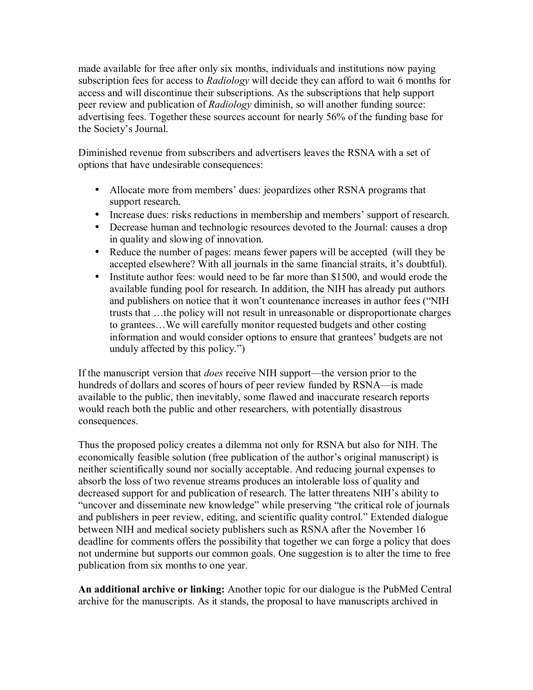made available for free after only six months, individuals and institutions now paying subscription fees for access to *Radiology* will decide they can afford to wait 6 months for access and will discontinue their subscriptions. As the subscriptions that help support peer review and publication of *Radiology* diminish, so will another funding source: advertising fees. Together these sources account for nearly 56% of the funding base for the Society's Journal.

Diminished revenue from subscribers and advertisers leaves the RSNA with a set of options that have undesirable consequences:

- Allocate more from members' dues: jeopardizes other RSNA programs that support research.
- Increase dues: risks reductions in membership and members' support of research.
- Decrease human and technologic resources devoted to the Journal: causes a drop in quality and slowing of innovation.
- Reduce the number of pages: means fewer papers will be accepted (will they be accepted elsewhere? With all journals in the same financial straits, it's doubtful).
- Institute author fees: would need to be far more than \$1500, and would erode the available funding pool for research. In addition, the NIH has already put authors and publishers on notice that it won't countenance increases in author fees ("NIH trusts that  $\ldots$  the policy will not result in unreasonable or disproportionate charges to grantees...We will carefully monitor requested budgets and other costing information and would consider options to ensure that grantees' budgets are not unduly affected by this policy."

If the manuscript version that *does* receive NIH support—the version prior to the hundreds of dollars and scores of hours of peer review funded by RSNA—is made available to the public, then inevitably, some flawed and inaccurate research reports would reach both the public and other researchers, with potentially disastrous consequences.

Thus the proposed policy creates a dilemma not only for RSNA but also for NIH. The economically feasible solution (free publication of the author's original manuscript) is neither scientifically sound nor socially acceptable. And reducing journal expenses to absorb the loss of two revenue streams produces an intolerable loss of quality and decreased support for and publication of research. The latter threatens NIH's ability to "uncover and disseminate new knowledge" while preserving "the critical role of journals and publishers in peer review, editing, and scientific quality control." Extended dialogue between NIH and medical society publishers such as RSNA after the November 16 deadline for comments offers the possibility that together we can forge a policy that does not undermine but supports our common goals. One suggestion is to alter the time to free publication from six months to one year.

**An additional archive or linking:** Another topic for our dialogue is the PubMed Central archive for the manuscripts. As it stands, the proposal to have manuscripts archived in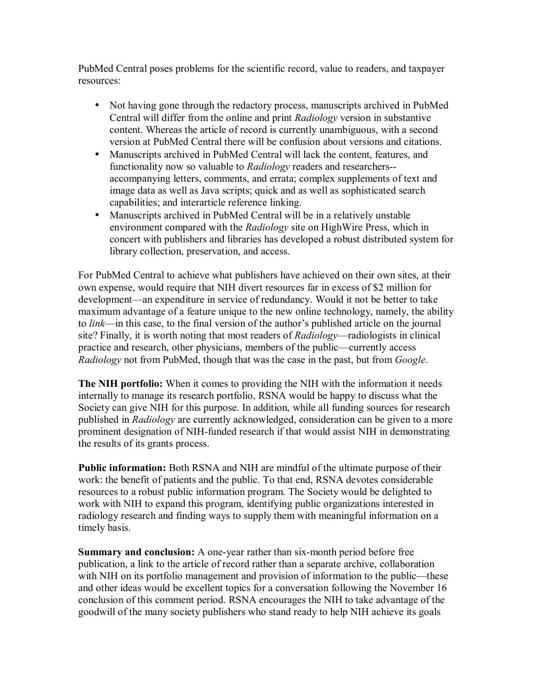PubMed Central poses problems for the scientific record, value to readers, and taxpayer resources:

- Not having gone through the redactory process, manuscripts archived in PubMed Central will differ from the online and print *Radiology* version in substantive content. Whereas the article of record is currently unambiguous, with a second version at PubMed Central there will be confusion about versions and citations.
- Manuscripts archived in PubMed Central will lack the content, features, and functionality now so valuable to *Radiology* readers and researchers- accompanying letters, comments, and errata; complex supplements of text and image data as well as Java scripts; quick and as well as sophisticated search capabilities; and interarticle reference linking.
- Manuscripts archived in PubMed Central will be in a relatively unstable environment compared with the *Radiology* site on HighWire Press, which in concert with publishers and libraries has developed a robust distributed system for library collection, preservation, and access.

For PubMed Central to achieve what publishers have achieved on their own sites, at their own expense, would require that NIH divert resources far in excess of \$2 million for development—an expenditure in service of redundancy. Would it not be better to take maximum advantage of a feature unique to the new online technology, namely, the ability to *link*—in this case, to the final version of the author's published article on the journal site? Finally, it is worth noting that most readers of *Radiology*—radiologists in clinical practice and research, other physicians, members of the public—currently access *Radiology* not from PubMed, though that was the case in the past, but from *Google*.

**The NIH portfolio:** When it comes to providing the NIH with the information it needs internally to manage its research portfolio, RSNA would be happy to discuss what the Society can give NIH for this purpose. In addition, while all funding sources for research published in *Radiology* are currently acknowledged, consideration can be given to a more prominent designation of NIH-funded research if that would assist NIH in demonstrating the results of its grants process.

**Public information:** Both RSNA and NIH are mindful of the ultimate purpose of their work: the benefit of patients and the public. To that end, RSNA devotes considerable resources to a robust public information program. The Society would be delighted to work with NIH to expand this program, identifying public organizations interested in radiology research and finding ways to supply them with meaningful information on a timely basis.

**Summary and conclusion:** A one-year rather than six-month period before free publication, a link to the article of record rather than a separate archive, collaboration with NIH on its portfolio management and provision of information to the public—these and other ideas would be excellent topics for a conversation following the November 16 conclusion of this comment period. RSNA encourages the NIH to take advantage of the goodwill of the many society publishers who stand ready to help NIH achieve its goals